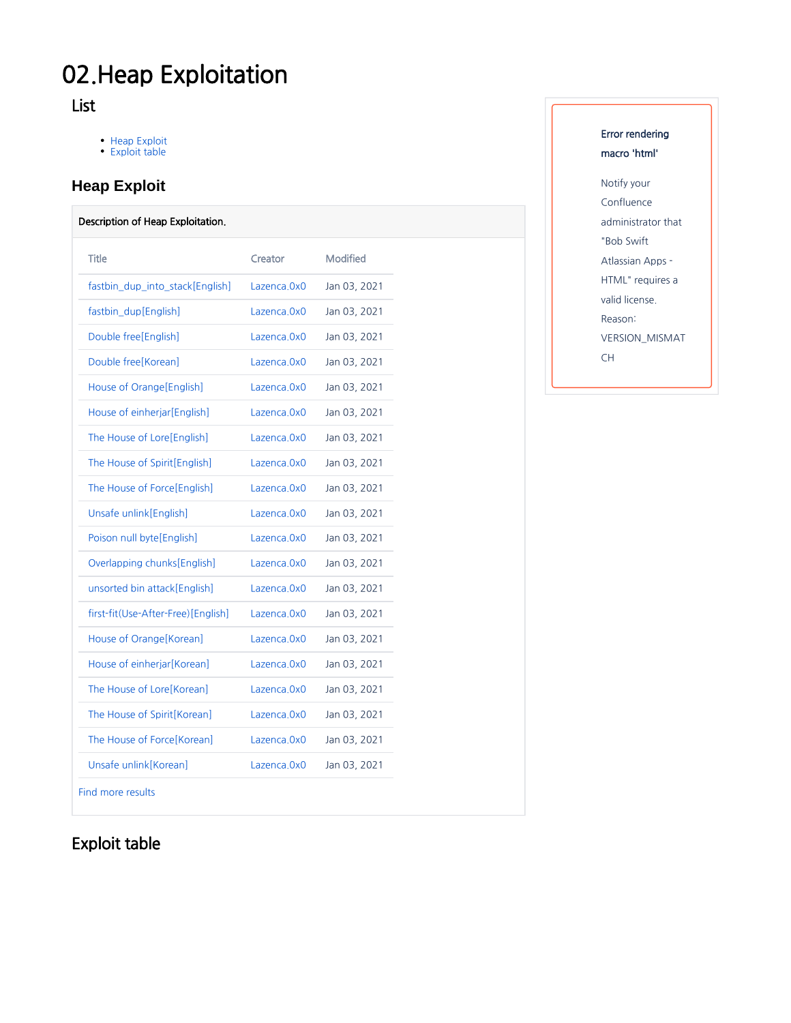# 02.Heap Exploitation

## List

- [Heap Exploit](#page-0-0) [Exploit table](#page-0-1)
- 

## <span id="page-0-0"></span>**Heap Exploit**

#### Description of Heap Exploitation.

| Title                              | Creator      | Modified     |
|------------------------------------|--------------|--------------|
| fastbin_dup_into_stack[English]    | Lazenca.0x0  | Jan 03, 2021 |
| fastbin dup[English]               | Lazenca.0x0  | Jan 03, 2021 |
| Double free[English]               | Lazenca.0x0  | Jan 03, 2021 |
| Double free [Korean]               | Lazenca.0x0  | Jan 03, 2021 |
| House of Orange [English]          | Lazenca.0x0  | Jan 03, 2021 |
| House of einherjar[English]        | Lazenca.0x0  | Jan 03, 2021 |
| The House of Lore[English]         | Lazenca.0x0  | Jan 03, 2021 |
| The House of Spirit[English]       | Lazenca.0x0  | Jan 03, 2021 |
| The House of Force[English]        | Lazenca.0x0  | Jan 03, 2021 |
| Unsafe unlink[English]             | Lazenca 0x0  | Jan 03, 2021 |
| Poison null byte[English]          | Lazenca.0x0  | Jan 03, 2021 |
| Overlapping chunks[English]        | Lazenca, 0x0 | Jan 03, 2021 |
| unsorted bin attack [English]      | Lazenca.0x0  | Jan 03, 2021 |
| first-fit(Use-After-Free)[English] | Lazenca, 0x0 | Jan 03, 2021 |
| House of Orange [Korean]           | Lazenca, 0x0 | Jan 03, 2021 |
| House of einherjar[Korean]         | Lazenca.0x0  | Jan 03, 2021 |
| The House of Lore[Korean]          | Lazenca.0x0  | Jan 03, 2021 |
| The House of Spirit[Korean]        | Lazenca.0x0  | Jan 03, 2021 |
| The House of Force[Korean]         | Lazenca.0x0  | Jan 03, 2021 |
| Unsafe unlink[Korean]              | Lazenca.0x0  | Jan 03, 2021 |
| Find more results                  |              |              |

## Error rendering macro 'html'

Notify your Confluence administrator that "Bob Swift Atlassian Apps - HTML" requires a valid license. Reason: VERSION\_MISMAT CH

# <span id="page-0-1"></span>Exploit table